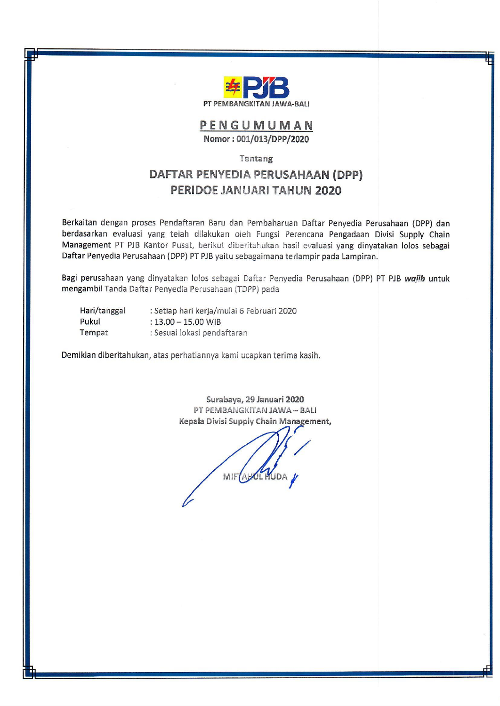

PENGUMUMAN Nomor: 001/013/DPP/2020

## Tentang

## DAFTAR PENYEDIA PERUSAHAAN (DPP) PERIDOE JANUARI TAHUN 2020

Berkaitan dengan proses Pendaftaran Baru dan Pembaharuan Daftar Penyedia Perusahaan (DPP) dan berdasarkan evaluasi yang telah dilakukan oleh Fungsi Perencana Pengadaan Divisi Supply Chain Management PT PJB Kantor Pusat, berikut diberitahukan hasil evaluasi yang dinyatakan lolos sebagai Daftar Penyedia Perusahaan (DPP) PT PJB yaitu sebagaimana terlampir pada Lampiran.

Bagi perusahaan yang dinyatakan lolos sebagai Daftar Penyedia Perusahaan (DPP) PT PJB wajib untuk mengambil Tanda Daftar Penyedia Perusahaan (TDPP) pada

| Hari/tanggal | : Setiap hari kerja/mulai 6 Februari 2020 |  |
|--------------|-------------------------------------------|--|
| Pukul        | $: 13.00 - 15.00$ WIB                     |  |
| Tempat       | : Sesuai lokasi pendaftaran               |  |

Demikian diberitahukan, atas perhatiannya kami ucapkan terima kasih.

Surabaya, 29 Januari 2020 PT PEMBANGKITAN JAWA - BALI Kepala Divisi Supply Chain Management,

MIF ABOL HUDA V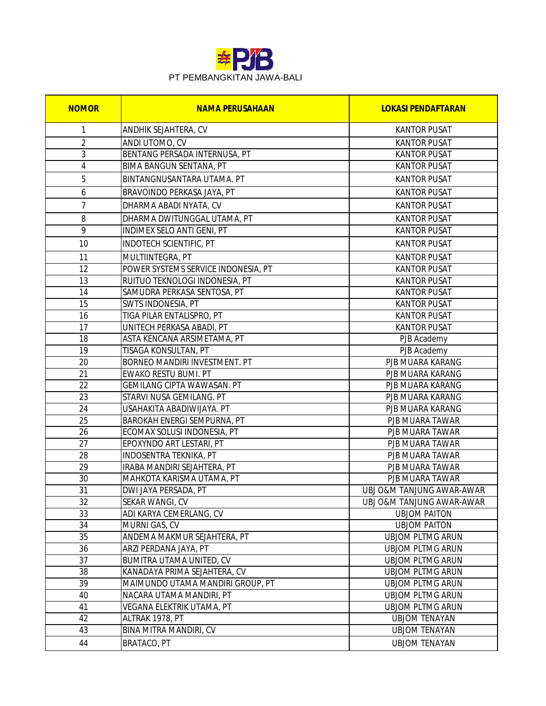

| <b>NOMOR</b>   | <b>NAMA PERUSAHAAN</b>                                   | <b>LOKASI PENDAFTARAN</b>          |
|----------------|----------------------------------------------------------|------------------------------------|
| 1              | ANDHIK SEJAHTERA, CV                                     | <b>KANTOR PUSAT</b>                |
| $\overline{2}$ | ANDI UTOMO, CV                                           | <b>KANTOR PUSAT</b>                |
| 3              | BENTANG PERSADA INTERNUSA, PT                            | <b>KANTOR PUSAT</b>                |
| $\overline{4}$ | <b>BIMA BANGUN SENTANA, PT</b>                           | <b>KANTOR PUSAT</b>                |
| 5              | BINTANGNUSANTARA UTAMA. PT                               | <b>KANTOR PUSAT</b>                |
| 6              | BRAVOINDO PERKASA JAYA, PT                               | <b>KANTOR PUSAT</b>                |
| $\overline{7}$ | DHARMA ABADI NYATA, CV                                   | <b>KANTOR PUSAT</b>                |
| 8              | DHARMA DWITUNGGAL UTAMA, PT                              | <b>KANTOR PUSAT</b>                |
| 9              | INDIMEX SELO ANTI GENI, PT                               | <b>KANTOR PUSAT</b>                |
| 10             | <b>INDOTECH SCIENTIFIC, PT</b>                           | <b>KANTOR PUSAT</b>                |
| 11             | MULTIINTEGRA, PT                                         | <b>KANTOR PUSAT</b>                |
| 12             | POWER SYSTEMS SERVICE INDONESIA, PT                      | <b>KANTOR PUSAT</b>                |
| 13             | RUITUO TEKNOLOGI INDONESIA, PT                           | <b>KANTOR PUSAT</b>                |
| 14             | SAMUDRA PERKASA SENTOSA, PT                              | <b>KANTOR PUSAT</b>                |
| 15             | <b>SWTS INDONESIA, PT</b>                                | <b>KANTOR PUSAT</b>                |
| 16             | TIGA PILAR ENTALISPRO, PT                                | <b>KANTOR PUSAT</b>                |
| 17             | UNITECH PERKASA ABADI, PT                                | <b>KANTOR PUSAT</b>                |
| 18             | ASTA KENCANA ARSIMETAMA, PT                              | PJB Academy                        |
| 19             | TISAGA KONSULTAN, PT                                     | PJB Academy                        |
| 20             | <b>BORNEO MANDIRI INVESTMENT. PT</b>                     | PJB MUARA KARANG                   |
| 21             | <b>EWAKO RESTU BUMI. PT</b>                              | PJB MUARA KARANG                   |
| 22             | GEMILANG CIPTA WAWASAN. PT                               | PJB MUARA KARANG                   |
| 23             | STARVI NUSA GEMILANG. PT                                 | PJB MUARA KARANG                   |
| 24             | USAHAKITA ABADIWIJAYA. PT                                | PJB MUARA KARANG                   |
| 25             | BAROKAH ENERGI SEMPURNA, PT                              | PJB MUARA TAWAR                    |
| 26             | ECOMAX SOLUSI INDONESIA, PT                              | PJB MUARA TAWAR                    |
| 27             | EPOXYNDO ART LESTARI, PT                                 | PJB MUARA TAWAR                    |
| 28             | INDOSENTRA TEKNIKA, PT                                   | PJB MUARA TAWAR                    |
| 29<br>30       | IRABA MANDIRI SEJAHTERA, PT<br>MAHKOTA KARISMA UTAMA, PT | PJB MUARA TAWAR<br>PJB MUARA TAWAR |
| 31             | DWI JAYA PERSADA, PT                                     | UBJ O&M TANJUNG AWAR-AWAR          |
| 32             | SEKAR WANGI, CV                                          | UBJ O&M TANJUNG AWAR-AWAR          |
| 33             | ADI KARYA CEMERLANG, CV                                  | <b>UBJOM PAITON</b>                |
| 34             | MURNI GAS, CV                                            | <b>UBJOM PAITON</b>                |
| 35             | ANDEMA MAKMUR SEJAHTERA, PT                              | <b>UBJOM PLTMG ARUN</b>            |
| 36             | ARZI PERDANA JAYA, PT                                    | <b>UBJOM PLTMG ARUN</b>            |
| 37             | <b>BUMITRA UTAMA UNITED, CV</b>                          | <b>UBJOM PLTMG ARUN</b>            |
| 38             | KANADAYA PRIMA SEJAHTERA, CV                             | <b>UBJOM PLTMG ARUN</b>            |
| 39             | MAIMUNDO UTAMA MANDIRI GROUP, PT                         | <b>UBJOM PLTMG ARUN</b>            |
| 40             | NACARA UTAMA MANDIRI, PT                                 | <b>UBJOM PLTMG ARUN</b>            |
| 41             | VEGANA ELEKTRIK UTAMA, PT                                | <b>UBJOM PLTMG ARUN</b>            |
| 42             | ALTRAK 1978, PT                                          | <b>UBJOM TENAYAN</b>               |
| 43             | BINA MITRA MANDIRI, CV                                   | <b>UBJOM TENAYAN</b>               |
| 44             | BRATACO, PT                                              | <b>UBJOM TENAYAN</b>               |